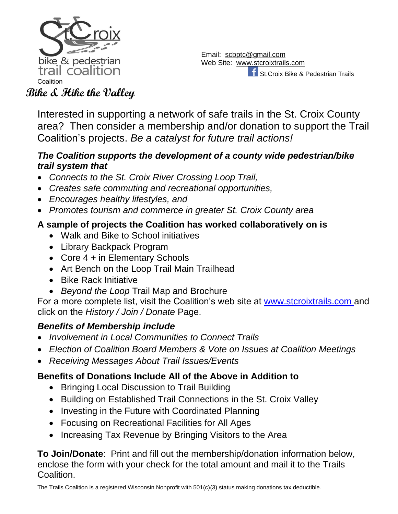

Email: [scbptc@gmail.com](mailto:scbptc@gmail.com) Web Site: [www.stcroixtrails.com](http://www.stcroixtrails.com/) St.Croix Bike & Pedestrian Trails

Interested in supporting a network of safe trails in the St. Croix County area? Then consider a membership and/or donation to support the Trail Coalition's projects. *Be a catalyst for future trail actions!*

#### *The Coalition supports the development of a county wide pedestrian/bike trail system that*

- *Connects to the St. Croix River Crossing Loop Trail,*
- *Creates safe commuting and recreational opportunities,*
- *Encourages healthy lifestyles, and*
- *Promotes tourism and commerce in greater St. Croix County area*

## **A sample of projects the Coalition has worked collaboratively on is**

- Walk and Bike to School initiatives
- Library Backpack Program
- Core 4 + in Elementary Schools
- Art Bench on the Loop Trail Main Trailhead
- Bike Rack Initiative
- *Beyond the Loop* Trail Map and Brochure

For a more complete list, visit the Coalition's web site at [www.stcroixtrails.com](http://www.stcroixtrails.com/) and click on the *History / Join / Donate* Page.

## *Benefits of Membership include*

- *Involvement in Local Communities to Connect Trails*
- *Election of Coalition Board Members & Vote on Issues at Coalition Meetings*
- *Receiving Messages About Trail Issues/Events*

### **Benefits of Donations Include All of the Above in Addition to**

- Bringing Local Discussion to Trail Building
- Building on Established Trail Connections in the St. Croix Valley
- Investing in the Future with Coordinated Planning
- Focusing on Recreational Facilities for All Ages
- Increasing Tax Revenue by Bringing Visitors to the Area

**To Join/Donate**: Print and fill out the membership/donation information below, enclose the form with your check for the total amount and mail it to the Trails Coalition.

The Trails Coalition is a registered Wisconsin Nonprofit with 501(c)(3) status making donations tax deductible.